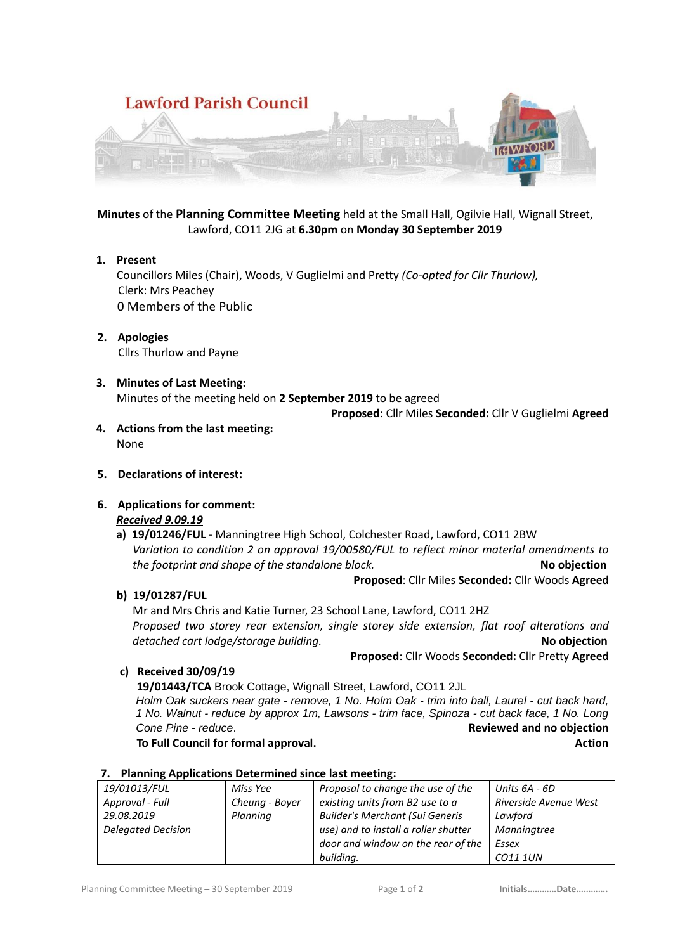

**Minutes** of the **Planning Committee Meeting** held at the Small Hall, Ogilvie Hall, Wignall Street, Lawford, CO11 2JG at **6.30pm** on **Monday 30 September 2019**

- **1. Present** Councillors Miles (Chair), Woods, V Guglielmi and Pretty *(Co-opted for Cllr Thurlow),*  Clerk: Mrs Peachey 0 Members of the Public
- **2. Apologies** Cllrs Thurlow and Payne
- **3. Minutes of Last Meeting:** Minutes of the meeting held on **2 September 2019** to be agreed

**Proposed**: Cllr Miles **Seconded:** Cllr V Guglielmi **Agreed**

- **4. Actions from the last meeting:** None
- **5. Declarations of interest:**

## **6. Applications for comment:**

## *Received 9.09.19*

**a) 19/01246/FUL** - Manningtree High School, Colchester Road, Lawford, CO11 2BW *Variation to condition 2 on approval 19/00580/FUL to reflect minor material amendments to the footprint and shape of the standalone block.* **No objection**

**Proposed**: Cllr Miles **Seconded:** Cllr Woods **Agreed**

**b) 19/01287/FUL**

Mr and Mrs Chris and Katie Turner, 23 School Lane, Lawford, CO11 2HZ *Proposed two storey rear extension, single storey side extension, flat roof alterations and detached cart lodge/storage building.* **No objection**

**Proposed**: Cllr Woods **Seconded:** Cllr Pretty **Agreed**

**c) Received 30/09/19** 

 **19/01443/TCA** Brook Cottage, Wignall Street, Lawford, CO11 2JL *Holm Oak suckers near gate - remove, 1 No. Holm Oak - trim into ball, Laurel - cut back hard, 1 No. Walnut - reduce by approx 1m, Lawsons - trim face, Spinoza - cut back face, 1 No. Long*  **Cone Pine -** *reduce*. **Reviewed and no objection To Full Council for formal approval.** Action **To Full Council for formal approval.** 

| 7. Flammig Applications Determined since last incetting. |                |                                        |                       |
|----------------------------------------------------------|----------------|----------------------------------------|-----------------------|
| 19/01013/FUL                                             | Miss Yee       | Proposal to change the use of the      | Units 6A - 6D         |
| Approval - Full                                          | Cheung - Boyer | existing units from B2 use to a        | Riverside Avenue West |
| 29.08.2019                                               | Planning       | <b>Builder's Merchant (Sui Generis</b> | Lawford               |
| <b>Delegated Decision</b>                                |                | use) and to install a roller shutter   | Manningtree           |
|                                                          |                | door and window on the rear of the     | Essex                 |
|                                                          |                | building.                              | CO11 1UN              |

## **7. Planning Applications Determined since last meeting:**